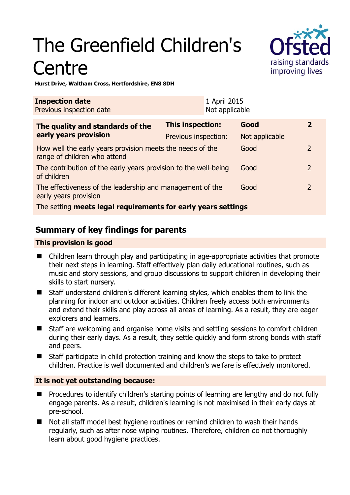# The Greenfield Children's **Centre**



**Hurst Drive, Waltham Cross, Hertfordshire, EN8 8DH** 

| <b>Inspection date</b><br>Previous inspection date                                        |                         | 1 April 2015<br>Not applicable |                |                |
|-------------------------------------------------------------------------------------------|-------------------------|--------------------------------|----------------|----------------|
| The quality and standards of the<br>early years provision                                 | <b>This inspection:</b> |                                | Good           | $\mathbf{2}$   |
|                                                                                           | Previous inspection:    |                                | Not applicable |                |
| How well the early years provision meets the needs of the<br>range of children who attend |                         |                                | Good           | $\overline{2}$ |
| The contribution of the early years provision to the well-being<br>of children            |                         |                                | Good           | 2              |
| The effectiveness of the leadership and management of the<br>early years provision        |                         |                                | Good           | $\mathcal{P}$  |
| The setting meets legal requirements for early years settings                             |                         |                                |                |                |

## **Summary of key findings for parents**

#### **This provision is good**

- Children learn through play and participating in age-appropriate activities that promote their next steps in learning. Staff effectively plan daily educational routines, such as music and story sessions, and group discussions to support children in developing their skills to start nursery.
- Staff understand children's different learning styles, which enables them to link the planning for indoor and outdoor activities. Children freely access both environments and extend their skills and play across all areas of learning. As a result, they are eager explorers and learners.
- Staff are welcoming and organise home visits and settling sessions to comfort children during their early days. As a result, they settle quickly and form strong bonds with staff and peers.
- Staff participate in child protection training and know the steps to take to protect children. Practice is well documented and children's welfare is effectively monitored.

#### **It is not yet outstanding because:**

- Procedures to identify children's starting points of learning are lengthy and do not fully engage parents. As a result, children's learning is not maximised in their early days at pre-school.
- Not all staff model best hygiene routines or remind children to wash their hands regularly, such as after nose wiping routines. Therefore, children do not thoroughly learn about good hygiene practices.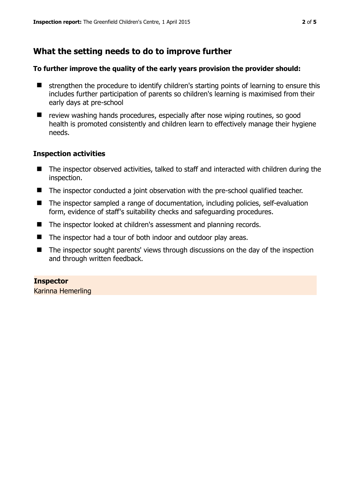## **What the setting needs to do to improve further**

#### **To further improve the quality of the early years provision the provider should:**

- $\blacksquare$  strengthen the procedure to identify children's starting points of learning to ensure this includes further participation of parents so children's learning is maximised from their early days at pre-school
- review washing hands procedures, especially after nose wiping routines, so good health is promoted consistently and children learn to effectively manage their hygiene needs.

#### **Inspection activities**

- The inspector observed activities, talked to staff and interacted with children during the inspection.
- The inspector conducted a joint observation with the pre-school qualified teacher.
- The inspector sampled a range of documentation, including policies, self-evaluation form, evidence of staff's suitability checks and safeguarding procedures.
- The inspector looked at children's assessment and planning records.
- The inspector had a tour of both indoor and outdoor play areas.
- The inspector sought parents' views through discussions on the day of the inspection and through written feedback.

**Inspector**  Karinna Hemerling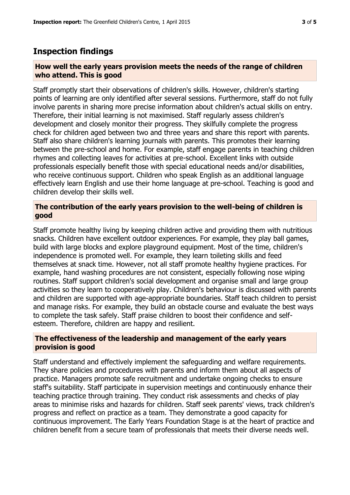### **Inspection findings**

#### **How well the early years provision meets the needs of the range of children who attend. This is good**

Staff promptly start their observations of children's skills. However, children's starting points of learning are only identified after several sessions. Furthermore, staff do not fully involve parents in sharing more precise information about children's actual skills on entry. Therefore, their initial learning is not maximised. Staff regularly assess children's development and closely monitor their progress. They skilfully complete the progress check for children aged between two and three years and share this report with parents. Staff also share children's learning journals with parents. This promotes their learning between the pre-school and home. For example, staff engage parents in teaching children rhymes and collecting leaves for activities at pre-school. Excellent links with outside professionals especially benefit those with special educational needs and/or disabilities, who receive continuous support. Children who speak English as an additional language effectively learn English and use their home language at pre-school. Teaching is good and children develop their skills well.

#### **The contribution of the early years provision to the well-being of children is good**

Staff promote healthy living by keeping children active and providing them with nutritious snacks. Children have excellent outdoor experiences. For example, they play ball games, build with large blocks and explore playground equipment. Most of the time, children's independence is promoted well. For example, they learn toileting skills and feed themselves at snack time. However, not all staff promote healthy hygiene practices. For example, hand washing procedures are not consistent, especially following nose wiping routines. Staff support children's social development and organise small and large group activities so they learn to cooperatively play. Children's behaviour is discussed with parents and children are supported with age-appropriate boundaries. Staff teach children to persist and manage risks. For example, they build an obstacle course and evaluate the best ways to complete the task safely. Staff praise children to boost their confidence and selfesteem. Therefore, children are happy and resilient.

#### **The effectiveness of the leadership and management of the early years provision is good**

Staff understand and effectively implement the safeguarding and welfare requirements. They share policies and procedures with parents and inform them about all aspects of practice. Managers promote safe recruitment and undertake ongoing checks to ensure staff's suitability. Staff participate in supervision meetings and continuously enhance their teaching practice through training. They conduct risk assessments and checks of play areas to minimise risks and hazards for children. Staff seek parents' views, track children's progress and reflect on practice as a team. They demonstrate a good capacity for continuous improvement. The Early Years Foundation Stage is at the heart of practice and children benefit from a secure team of professionals that meets their diverse needs well.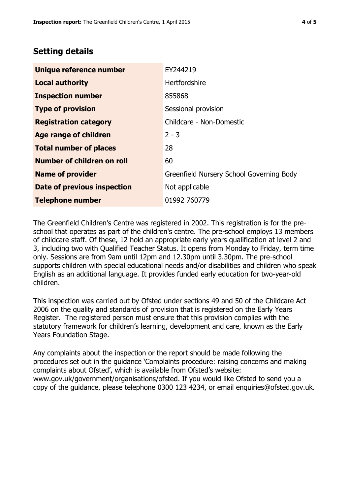## **Setting details**

| Unique reference number       | EY244219                                 |  |
|-------------------------------|------------------------------------------|--|
| <b>Local authority</b>        | Hertfordshire                            |  |
| <b>Inspection number</b>      | 855868                                   |  |
| <b>Type of provision</b>      | Sessional provision                      |  |
| <b>Registration category</b>  | Childcare - Non-Domestic                 |  |
| Age range of children         | $2 - 3$                                  |  |
| <b>Total number of places</b> | 28                                       |  |
| Number of children on roll    | 60                                       |  |
| <b>Name of provider</b>       | Greenfield Nursery School Governing Body |  |
| Date of previous inspection   | Not applicable                           |  |
| <b>Telephone number</b>       | 01992 760779                             |  |

The Greenfield Children's Centre was registered in 2002. This registration is for the preschool that operates as part of the children's centre. The pre-school employs 13 members of childcare staff. Of these, 12 hold an appropriate early years qualification at level 2 and 3, including two with Qualified Teacher Status. It opens from Monday to Friday, term time only. Sessions are from 9am until 12pm and 12.30pm until 3.30pm. The pre-school supports children with special educational needs and/or disabilities and children who speak English as an additional language. It provides funded early education for two-year-old children.

This inspection was carried out by Ofsted under sections 49 and 50 of the Childcare Act 2006 on the quality and standards of provision that is registered on the Early Years Register. The registered person must ensure that this provision complies with the statutory framework for children's learning, development and care, known as the Early Years Foundation Stage.

Any complaints about the inspection or the report should be made following the procedures set out in the guidance 'Complaints procedure: raising concerns and making complaints about Ofsted', which is available from Ofsted's website: www.gov.uk/government/organisations/ofsted. If you would like Ofsted to send you a copy of the guidance, please telephone 0300 123 4234, or email enquiries@ofsted.gov.uk.